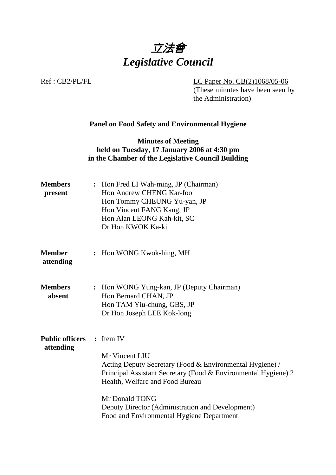

Ref : CB2/PL/FE LC Paper No. CB(2)1068/05-06

(These minutes have been seen by the Administration)

### **Panel on Food Safety and Environmental Hygiene**

## **Minutes of Meeting held on Tuesday, 17 January 2006 at 4:30 pm in the Chamber of the Legislative Council Building**

| <b>Members</b><br>present           | : Hon Fred LI Wah-ming, JP (Chairman)<br>Hon Andrew CHENG Kar-foo<br>Hon Tommy CHEUNG Yu-yan, JP<br>Hon Vincent FANG Kang, JP<br>Hon Alan LEONG Kah-kit, SC<br>Dr Hon KWOK Ka-ki                                                                                                                                  |
|-------------------------------------|-------------------------------------------------------------------------------------------------------------------------------------------------------------------------------------------------------------------------------------------------------------------------------------------------------------------|
| <b>Member</b><br>attending          | : Hon WONG Kwok-hing, MH                                                                                                                                                                                                                                                                                          |
| <b>Members</b><br>absent            | : Hon WONG Yung-kan, JP (Deputy Chairman)<br>Hon Bernard CHAN, JP<br>Hon TAM Yiu-chung, GBS, JP<br>Dr Hon Joseph LEE Kok-long                                                                                                                                                                                     |
| <b>Public officers</b><br>attending | $:$ Item IV<br>Mr Vincent LIU<br>Acting Deputy Secretary (Food & Environmental Hygiene) /<br>Principal Assistant Secretary (Food & Environmental Hygiene) 2<br>Health, Welfare and Food Bureau<br>Mr Donald TONG<br>Deputy Director (Administration and Development)<br>Food and Environmental Hygiene Department |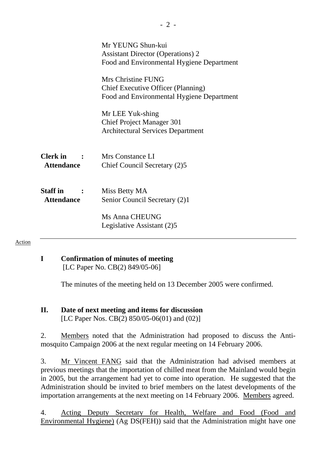|                                                       | Mr YEUNG Shun-kui<br><b>Assistant Director (Operations) 2</b><br>Food and Environmental Hygiene Department |
|-------------------------------------------------------|------------------------------------------------------------------------------------------------------------|
|                                                       | Mrs Christine FUNG<br>Chief Executive Officer (Planning)<br>Food and Environmental Hygiene Department      |
|                                                       | Mr LEE Yuk-shing<br><b>Chief Project Manager 301</b><br><b>Architectural Services Department</b>           |
| Clerk in<br>$\sim$ $\sim$ $\sim$<br><b>Attendance</b> | Mrs Constance LI<br>Chief Council Secretary (2)5                                                           |
| <b>Staff in</b><br><b>Attendance</b>                  | Miss Betty MA<br>Senior Council Secretary (2)1                                                             |
|                                                       | Ms Anna CHEUNG<br>Legislative Assistant (2)5                                                               |
|                                                       |                                                                                                            |

#### **I Confirmation of minutes of meeting**  [LC Paper No. CB(2) 849/05-06]

Action

The minutes of the meeting held on 13 December 2005 were confirmed.

#### **II. Date of next meeting and items for discussion**  [LC Paper Nos. CB(2) 850/05-06(01) and (02)]

2. Members noted that the Administration had proposed to discuss the Antimosquito Campaign 2006 at the next regular meeting on 14 February 2006.

3. Mr Vincent FANG said that the Administration had advised members at previous meetings that the importation of chilled meat from the Mainland would begin in 2005, but the arrangement had yet to come into operation. He suggested that the Administration should be invited to brief members on the latest developments of the importation arrangements at the next meeting on 14 February 2006. Members agreed.

4. Acting Deputy Secretary for Health, Welfare and Food (Food and Environmental Hygiene) (Ag DS(FEH)) said that the Administration might have one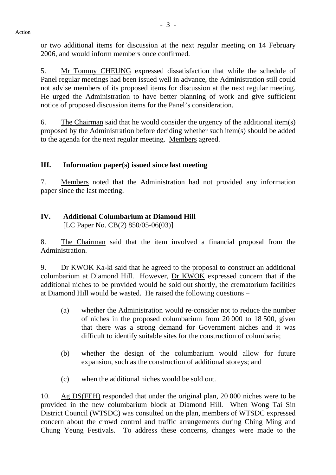or two additional items for discussion at the next regular meeting on 14 February 2006, and would inform members once confirmed.

5. Mr Tommy CHEUNG expressed dissatisfaction that while the schedule of Panel regular meetings had been issued well in advance, the Administration still could not advise members of its proposed items for discussion at the next regular meeting. He urged the Administration to have better planning of work and give sufficient notice of proposed discussion items for the Panel's consideration.

6. The Chairman said that he would consider the urgency of the additional item(s) proposed by the Administration before deciding whether such item(s) should be added to the agenda for the next regular meeting. Members agreed.

## **III. Information paper(s) issued since last meeting**

7. Members noted that the Administration had not provided any information paper since the last meeting.

# **IV. Additional Columbarium at Diamond Hill**

[LC Paper No. CB(2) 850/05-06(03)]

8. The Chairman said that the item involved a financial proposal from the Administration.

9. Dr KWOK Ka-ki said that he agreed to the proposal to construct an additional columbarium at Diamond Hill. However, Dr KWOK expressed concern that if the additional niches to be provided would be sold out shortly, the crematorium facilities at Diamond Hill would be wasted. He raised the following questions –

- (a) whether the Administration would re-consider not to reduce the number of niches in the proposed columbarium from 20,000 to 18,500, given that there was a strong demand for Government niches and it was difficult to identify suitable sites for the construction of columbaria;
- (b) whether the design of the columbarium would allow for future expansion, such as the construction of additional storeys; and
- (c) when the additional niches would be sold out.

10. Ag DS(FEH) responded that under the original plan, 20,000 niches were to be provided in the new columbarium block at Diamond Hill. When Wong Tai Sin District Council (WTSDC) was consulted on the plan, members of WTSDC expressed concern about the crowd control and traffic arrangements during Ching Ming and Chung Yeung Festivals. To address these concerns, changes were made to the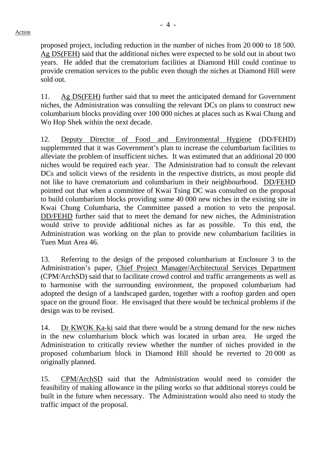proposed project, including reduction in the number of niches from 20,000 to 18,500. Ag DS(FEH) said that the additional niches were expected to be sold out in about two years. He added that the crematorium facilities at Diamond Hill could continue to provide cremation services to the public even though the niches at Diamond Hill were sold out.

11. Ag DS(FEH) further said that to meet the anticipated demand for Government niches, the Administration was consulting the relevant DCs on plans to construct new columbarium blocks providing over 100,000 niches at places such as Kwai Chung and Wo Hop Shek within the next decade.

12. Deputy Director of Food and Environmental Hygiene (DD/FEHD) supplemented that it was Government's plan to increase the columbarium facilities to alleviate the problem of insufficient niches. It was estimated that an additional 20,000 niches would be required each year. The Administration had to consult the relevant DCs and solicit views of the residents in the respective districts, as most people did not like to have crematorium and columbarium in their neighbourhood. DD/FEHD pointed out that when a committee of Kwai Tsing DC was consulted on the proposal to build columbarium blocks providing some 40,000 new niches in the existing site in Kwai Chung Columbaria, the Committee passed a motion to veto the proposal. DD/FEHD further said that to meet the demand for new niches, the Administration would strive to provide additional niches as far as possible. To this end, the Administration was working on the plan to provide new columbarium facilities in Tuen Mun Area 46.

13. Referring to the design of the proposed columbarium at Enclosure 3 to the Administration's paper, Chief Project Manager/Architectural Services Department (CPM/ArchSD) said that to facilitate crowd control and traffic arrangements as well as to harmonise with the surrounding environment, the proposed columbarium had adopted the design of a landscaped garden, together with a rooftop garden and open space on the ground floor. He envisaged that there would be technical problems if the design was to be revised.

14. Dr KWOK Ka-ki said that there would be a strong demand for the new niches in the new columbarium block which was located in urban area. He urged the Administration to critically review whether the number of niches provided in the proposed columbarium block in Diamond Hill should be reverted to 20,000 as originally planned.

15. CPM/ArchSD said that the Administration would need to consider the feasibility of making allowance in the piling works so that additional storeys could be built in the future when necessary. The Administration would also need to study the traffic impact of the proposal.